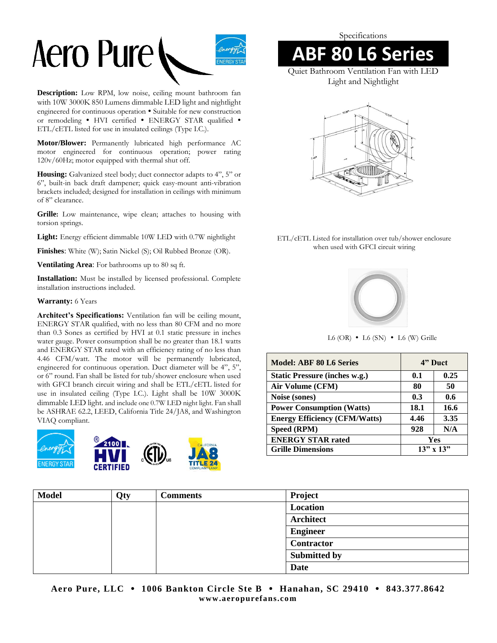

**Description:** Low RPM, low noise, ceiling mount bathroom fan with 10W 3000K 850 Lumens dimmable LED light and nightlight engineered for continuous operation . Suitable for new construction or remodeling . HVI certified . ENERGY STAR qualified . ETL/cETL listed for use in insulated ceilings (Type I.C.).

**Motor/Blower:** Permanently lubricated high performance AC motor engineered for continuous operation; power rating 120v/60Hz; motor equipped with thermal shut off.

Housing: Galvanized steel body; duct connector adapts to 4", 5" or 6", built-in back draft dampener; quick easy-mount anti-vibration brackets included; designed for installation in ceilings with minimum of 8" clearance.

**Grille:** Low maintenance, wipe clean; attaches to housing with torsion springs.

**Light:** Energy efficient dimmable 10W LED with 0.7W nightlight

**Finishes**: White (W); Satin Nickel (S); Oil Rubbed Bronze (OR).

**Ventilating Area**: For bathrooms up to 80 sq ft.

**Installation:** Must be installed by licensed professional. Complete installation instructions included.

#### **Warranty:** 6 Years

**Architect's Specifications:** Ventilation fan will be ceiling mount, ENERGY STAR qualified, with no less than 80 CFM and no more than 0.3 Sones as certified by HVI at 0.1 static pressure in inches water gauge. Power consumption shall be no greater than 18.1 watts and ENERGY STAR rated with an efficiency rating of no less than 4.46 CFM/watt. The motor will be permanently lubricated, engineered for continuous operation. Duct diameter will be 4", 5", or 6" round. Fan shall be listed for tub/shower enclosure when used with GFCI branch circuit wiring and shall be ETL/cETL listed for use in insulated ceiling (Type I.C.). Light shall be 10W 3000K dimmable LED light. and include one 0.7W LED night light. Fan shall be ASHRAE 62.2, LEED, California Title 24/JA8, and Washington VIAQ compliant.



Specifications

## **ABF 80 L6 Series**

Quiet Bathroom Ventilation Fan with LED Light and Nightlight



### ETL/cETL Listed for installation over tub/shower enclosure when used with GFCI circuit wiring



 $L6$  (OR)  $\bullet$   $L6$  (SN)  $\bullet$   $L6$  (W) Grille

| <b>Model: ABF 80 L6 Series</b>       | 4" Duct       |            |  |
|--------------------------------------|---------------|------------|--|
| <b>Static Pressure (inches w.g.)</b> | 0.1           | 0.25       |  |
| Air Volume (CFM)                     | 80            | 50         |  |
| Noise (sones)                        | 0.3           | 0.6        |  |
| <b>Power Consumption (Watts)</b>     | 18.1          | 16.6       |  |
| <b>Energy Efficiency (CFM/Watts)</b> | 4.46          | 3.35       |  |
| Speed (RPM)                          | 928           | N/A        |  |
| <b>ENERGY STAR rated</b>             |               | <b>Yes</b> |  |
| <b>Grille Dimensions</b>             | $13"$ x $13"$ |            |  |

| <b>Model</b> | Qty | Comments | Project             |
|--------------|-----|----------|---------------------|
|              |     |          | Location            |
|              |     |          | <b>Architect</b>    |
|              |     |          | <b>Engineer</b>     |
|              |     |          | Contractor          |
|              |     |          | <b>Submitted by</b> |
|              |     |          | Date                |

**Aero Pure, LLC 1006 Bankton Circle Ste B Hanahan, SC 29410 843.377.8642 www.aeropurefans.co m**